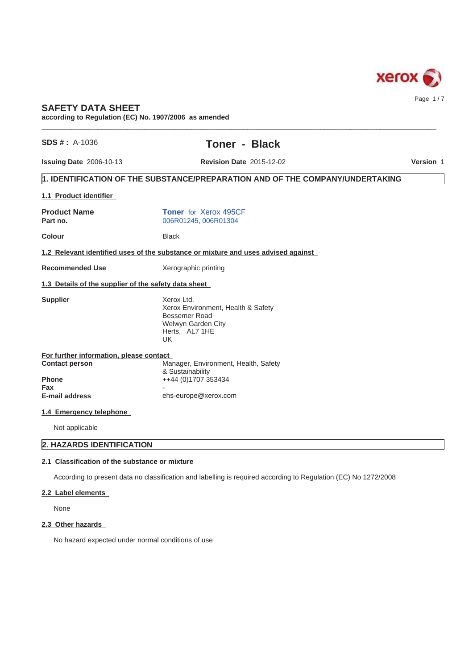

# **SAFETY DATA SHEET**

**according to Regulation (EC) No. 1907/2006 as amended**

|  | $SDS#: A-1036$ |
|--|----------------|
|  |                |
|  |                |

# **Toner - Black**

 $\_$  ,  $\_$  ,  $\_$  ,  $\_$  ,  $\_$  ,  $\_$  ,  $\_$  ,  $\_$  ,  $\_$  ,  $\_$  ,  $\_$  ,  $\_$  ,  $\_$  ,  $\_$  ,  $\_$  ,  $\_$  ,  $\_$  ,  $\_$  ,  $\_$  ,  $\_$  ,  $\_$  ,  $\_$  ,  $\_$  ,  $\_$  ,  $\_$  ,  $\_$  ,  $\_$  ,  $\_$  ,  $\_$  ,  $\_$  ,  $\_$  ,  $\_$  ,  $\_$  ,  $\_$  ,  $\_$  ,  $\_$  ,  $\_$  ,

**Issuing Date** 2006-10-13 **Revision Date** 2015-12-02

**Version** 1

# **1. IDENTIFICATION OF THE SUBSTANCE/PREPARATION AND OF THE COMPANY/UNDERTAKING**

| 1.1 Product identifier                               |                                                                                                                  |
|------------------------------------------------------|------------------------------------------------------------------------------------------------------------------|
| <b>Product Name</b><br>Part no.                      | <b>Toner</b> for Xerox 495CF<br>006R01245, 006R01304                                                             |
| <b>Colour</b>                                        | <b>Black</b>                                                                                                     |
|                                                      | 1.2 Relevant identified uses of the substance or mixture and uses advised against                                |
| <b>Recommended Use</b>                               | Xerographic printing                                                                                             |
| 1.3 Details of the supplier of the safety data sheet |                                                                                                                  |
| <b>Supplier</b>                                      | Xerox Ltd.<br>Xerox Environment, Health & Safety<br>Bessemer Road<br>Welwyn Garden City<br>Herts. AL7 1HE<br>UK. |
| For further information, please contact              |                                                                                                                  |
| <b>Contact person</b>                                | Manager, Environment, Health, Safety<br>& Sustainability                                                         |
| <b>Phone</b>                                         | ++44 (0)1707 353434                                                                                              |
| Fax<br><b>E-mail address</b>                         | ehs-europe@xerox.com                                                                                             |
| 1.4 Emergency telephone                              |                                                                                                                  |
| Not applicable                                       |                                                                                                                  |
| 2. HAZARDS IDENTIFICATION                            |                                                                                                                  |

## **2.1 Classification of the substance or mixture**

According to present data no classification and labelling is required according to Regulation (EC) No 1272/2008

## **2.2 Label elements**

None

## **2.3 Other hazards**

No hazard expected under normal conditions of use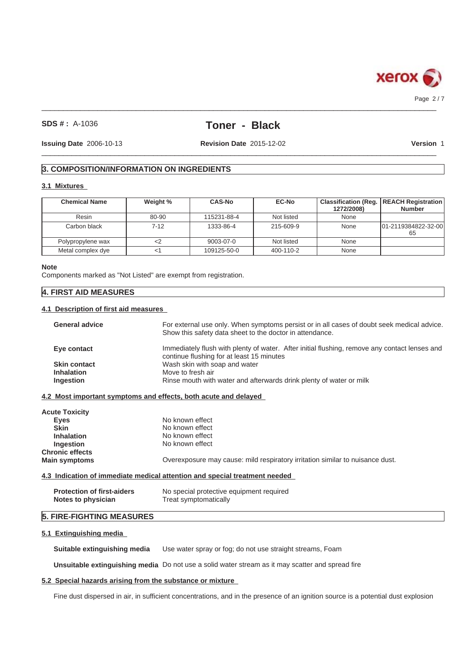

 $\_$  ,  $\_$  ,  $\_$  ,  $\_$  ,  $\_$  ,  $\_$  ,  $\_$  ,  $\_$  ,  $\_$  ,  $\_$  ,  $\_$  ,  $\_$  ,  $\_$  ,  $\_$  ,  $\_$  ,  $\_$  ,  $\_$  ,  $\_$  ,  $\_$  ,  $\_$  ,  $\_$  ,  $\_$  ,  $\_$  ,  $\_$  ,  $\_$  ,  $\_$  ,  $\_$  ,  $\_$  ,  $\_$  ,  $\_$  ,  $\_$  ,  $\_$  ,  $\_$  ,  $\_$  ,  $\_$  ,  $\_$  ,  $\_$  , Page 2 / 7

### **SDS # :** A-1036

# **Toner - Black**

**Issuing Date** 2006-10-13 **Revision Date** 2015-12-02

 $\_$  ,  $\_$  ,  $\_$  ,  $\_$  ,  $\_$  ,  $\_$  ,  $\_$  ,  $\_$  ,  $\_$  ,  $\_$  ,  $\_$  ,  $\_$  ,  $\_$  ,  $\_$  ,  $\_$  ,  $\_$  ,  $\_$  ,  $\_$  ,  $\_$  ,  $\_$  ,  $\_$  ,  $\_$  ,  $\_$  ,  $\_$  ,  $\_$  ,  $\_$  ,  $\_$  ,  $\_$  ,  $\_$  ,  $\_$  ,  $\_$  ,  $\_$  ,  $\_$  ,  $\_$  ,  $\_$  ,  $\_$  ,  $\_$  ,

**Version** 1

# **3. COMPOSITION/INFORMATION ON INGREDIENTS**

## **3.1 Mixtures**

| <b>Chemical Name</b> | Weight % | <b>CAS-No</b> | EC-No      | 1272/2008) | <b>Classification (Reg.   REACH Registration)</b><br><b>Number</b> |
|----------------------|----------|---------------|------------|------------|--------------------------------------------------------------------|
| Resin                | 80-90    | 115231-88-4   | Not listed | None       |                                                                    |
| Carbon black         | $7-12$   | 1333-86-4     | 215-609-9  | None       | 101-2119384822-32-00<br>65                                         |
| Polypropylene wax    |          | 9003-07-0     | Not listed | None       |                                                                    |
| Metal complex dye    |          | 109125-50-0   | 400-110-2  | None       |                                                                    |

#### **Note**

Components marked as "Not Listed" are exempt from registration.

## **4. FIRST AID MEASURES**

## **4.1 Description of first aid measures**

| <b>General advice</b> | For external use only. When symptoms persist or in all cases of doubt seek medical advice.<br>Show this safety data sheet to the doctor in attendance. |
|-----------------------|--------------------------------------------------------------------------------------------------------------------------------------------------------|
| Eye contact           | Immediately flush with plenty of water. After initial flushing, remove any contact lenses and<br>continue flushing for at least 15 minutes             |
| <b>Skin contact</b>   | Wash skin with soap and water                                                                                                                          |
| <b>Inhalation</b>     | Move to fresh air                                                                                                                                      |
| <b>Ingestion</b>      | Rinse mouth with water and afterwards drink plenty of water or milk                                                                                    |

## **4.2 Most important symptoms and effects, both acute and delayed**

| <b>Acute Toxicity</b>  |                                                                               |
|------------------------|-------------------------------------------------------------------------------|
| <b>Eyes</b>            | No known effect                                                               |
| <b>Skin</b>            | No known effect                                                               |
| <b>Inhalation</b>      | No known effect                                                               |
| Ingestion              | No known effect                                                               |
| <b>Chronic effects</b> |                                                                               |
| <b>Main symptoms</b>   | Overexposure may cause: mild respiratory irritation similar to nuisance dust. |

### **4.3 Indication of immediate medical attention and special treatment needed**

| <b>Protection of first-aiders</b> | No special protective equipment required |
|-----------------------------------|------------------------------------------|
| Notes to physician                | Treat symptomatically                    |

# **5. FIRE-FIGHTING MEASURES**

### **5.1 Extinguishing media**

**Suitable extinguishing media** Use water spray or fog; do not use straight streams, Foam

**Unsuitable extinguishing media** Do not use a solid water stream as it may scatter and spread fire

# **5.2 Special hazards arising from the substance or mixture**

Fine dust dispersed in air, in sufficient concentrations, and in the presence of an ignition source is a potential dust explosion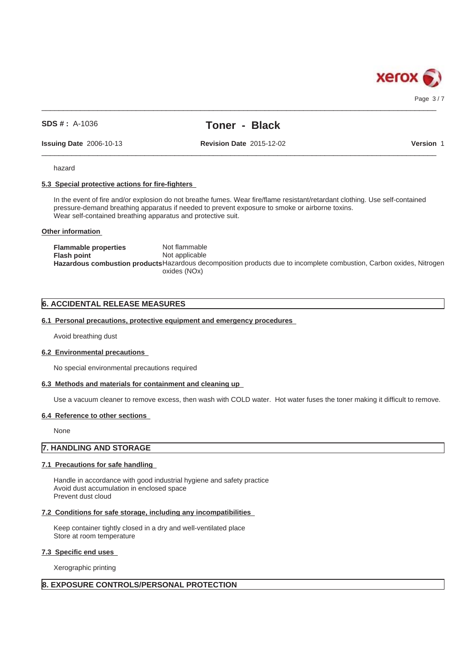

 $\_$  ,  $\_$  ,  $\_$  ,  $\_$  ,  $\_$  ,  $\_$  ,  $\_$  ,  $\_$  ,  $\_$  ,  $\_$  ,  $\_$  ,  $\_$  ,  $\_$  ,  $\_$  ,  $\_$  ,  $\_$  ,  $\_$  ,  $\_$  ,  $\_$  ,  $\_$  ,  $\_$  ,  $\_$  ,  $\_$  ,  $\_$  ,  $\_$  ,  $\_$  ,  $\_$  ,  $\_$  ,  $\_$  ,  $\_$  ,  $\_$  ,  $\_$  ,  $\_$  ,  $\_$  ,  $\_$  ,  $\_$  ,  $\_$  , Page 3/7

## **SDS # :** A-1036

# **Toner - Black**

**Issuing Date** 2006-10-13 **Revision Date** 2015-12-02

 $\_$  ,  $\_$  ,  $\_$  ,  $\_$  ,  $\_$  ,  $\_$  ,  $\_$  ,  $\_$  ,  $\_$  ,  $\_$  ,  $\_$  ,  $\_$  ,  $\_$  ,  $\_$  ,  $\_$  ,  $\_$  ,  $\_$  ,  $\_$  ,  $\_$  ,  $\_$  ,  $\_$  ,  $\_$  ,  $\_$  ,  $\_$  ,  $\_$  ,  $\_$  ,  $\_$  ,  $\_$  ,  $\_$  ,  $\_$  ,  $\_$  ,  $\_$  ,  $\_$  ,  $\_$  ,  $\_$  ,  $\_$  ,  $\_$  ,

**Version** 1

hazard

### **5.3 Special protective actions for fire-fighters**

In the event of fire and/or explosion do not breathe fumes. Wear fire/flame resistant/retardant clothing. Use self-contained pressure-demand breathing apparatus if needed to prevent exposure to smoke or airborne toxins. Wear self-contained breathing apparatus and protective suit.

#### **Other information**

**Flammable properties** Not flammable **Flash point** Not applicable **Hazardous combustion products**Hazardous decomposition products due to incomplete combustion, Carbon oxides, Nitrogen oxides (NOx)

## **6. ACCIDENTAL RELEASE MEASURES**

#### **6.1 Personal precautions, protective equipment and emergency procedures**

Avoid breathing dust

#### **6.2 Environmental precautions**

No special environmental precautions required

#### **6.3 Methods and materials for containment and cleaning up**

Use a vacuum cleaner to remove excess, then wash with COLD water. Hot water fuses the toner making it difficult to remove.

#### **6.4 Reference to other sections**

None

# **7. HANDLING AND STORAGE**

### **7.1 Precautions for safe handling**

Handle in accordance with good industrial hygiene and safety practice Avoid dust accumulation in enclosed space Prevent dust cloud

#### **7.2 Conditions for safe storage, including any incompatibilities**

Keep container tightly closed in a dry and well-ventilated place Store at room temperature

**7.3 Specific end uses**

Xerographic printing

### **8. EXPOSURE CONTROLS/PERSONAL PROTECTION**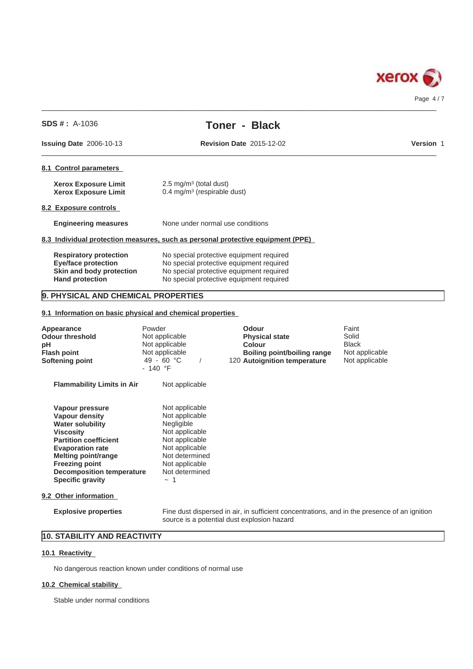

|                                | $SDS # : A-1036$                                                                                                  | <b>Toner - Black</b>                                                                                                                                                         |                  |
|--------------------------------|-------------------------------------------------------------------------------------------------------------------|------------------------------------------------------------------------------------------------------------------------------------------------------------------------------|------------------|
| <b>Issuing Date 2006-10-13</b> |                                                                                                                   | <b>Revision Date 2015-12-02</b>                                                                                                                                              | <b>Version 1</b> |
|                                | 8.1 Control parameters                                                                                            |                                                                                                                                                                              |                  |
|                                | <b>Xerox Exposure Limit</b><br><b>Xerox Exposure Limit</b>                                                        | $2.5 \text{ mg/m}^3$ (total dust)<br>$0.4 \text{ mg/m}^3$ (respirable dust)                                                                                                  |                  |
|                                | 8.2 Exposure controls                                                                                             |                                                                                                                                                                              |                  |
|                                | <b>Engineering measures</b>                                                                                       | None under normal use conditions                                                                                                                                             |                  |
|                                |                                                                                                                   | 8.3 Individual protection measures, such as personal protective equipment (PPE)                                                                                              |                  |
|                                | <b>Respiratory protection</b><br><b>Eye/face protection</b><br>Skin and body protection<br><b>Hand protection</b> | No special protective equipment required<br>No special protective equipment required<br>No special protective equipment required<br>No special protective equipment required |                  |

# **9. PHYSICAL AND CHEMICAL PROPERTIES**

**9.1 Information on basic physical and chemical properties**

| Appearance<br><b>Odour threshold</b><br>pН<br><b>Flash point</b><br><b>Softening point</b>                                                                                                                                                                                          | Powder<br>Not applicable<br>Not applicable<br>Not applicable<br>49 - 60 °C<br>$-140$ °F                                                                                | <b>Odour</b><br><b>Physical state</b><br><b>Colour</b><br>Boiling point/boiling range<br>120 Autoignition temperature | Faint<br>Solid<br><b>Black</b><br>Not applicable<br>Not applicable |
|-------------------------------------------------------------------------------------------------------------------------------------------------------------------------------------------------------------------------------------------------------------------------------------|------------------------------------------------------------------------------------------------------------------------------------------------------------------------|-----------------------------------------------------------------------------------------------------------------------|--------------------------------------------------------------------|
| <b>Flammability Limits in Air</b>                                                                                                                                                                                                                                                   | Not applicable                                                                                                                                                         |                                                                                                                       |                                                                    |
| Vapour pressure<br>Vapour density<br><b>Water solubility</b><br><b>Viscosity</b><br><b>Partition coefficient</b><br><b>Evaporation rate</b><br>Melting point/range<br><b>Freezing point</b><br><b>Decomposition temperature</b><br><b>Specific gravity</b><br>9.2 Other information | Not applicable<br>Not applicable<br>Negligible<br>Not applicable<br>Not applicable<br>Not applicable<br>Not determined<br>Not applicable<br>Not determined<br>$\sim$ 1 |                                                                                                                       |                                                                    |

**Explosive properties** Fine dust dispersed in air, in sufficient concentrations, and in the presence of an ignition source is a potential dust explosion hazard

# **10. STABILITY AND REACTIVITY**

## **10.1 Reactivity**

No dangerous reaction known under conditions of normal use

## **10.2 Chemical stability**

Stable under normal conditions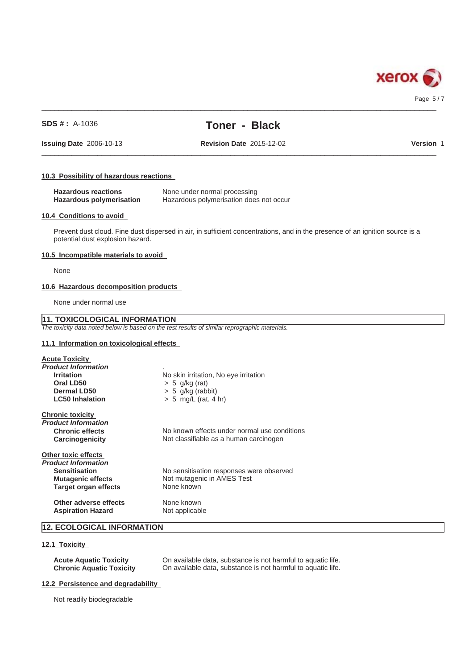

#### Page 5 / 7

### **SDS # :** A-1036

# **Toner - Black**

 $\_$  ,  $\_$  ,  $\_$  ,  $\_$  ,  $\_$  ,  $\_$  ,  $\_$  ,  $\_$  ,  $\_$  ,  $\_$  ,  $\_$  ,  $\_$  ,  $\_$  ,  $\_$  ,  $\_$  ,  $\_$  ,  $\_$  ,  $\_$  ,  $\_$  ,  $\_$  ,  $\_$  ,  $\_$  ,  $\_$  ,  $\_$  ,  $\_$  ,  $\_$  ,  $\_$  ,  $\_$  ,  $\_$  ,  $\_$  ,  $\_$  ,  $\_$  ,  $\_$  ,  $\_$  ,  $\_$  ,  $\_$  ,  $\_$  ,

**Issuing Date** 2006-10-13 **Revision Date** 2015-12-02

 $\_$  ,  $\_$  ,  $\_$  ,  $\_$  ,  $\_$  ,  $\_$  ,  $\_$  ,  $\_$  ,  $\_$  ,  $\_$  ,  $\_$  ,  $\_$  ,  $\_$  ,  $\_$  ,  $\_$  ,  $\_$  ,  $\_$  ,  $\_$  ,  $\_$  ,  $\_$  ,  $\_$  ,  $\_$  ,  $\_$  ,  $\_$  ,  $\_$  ,  $\_$  ,  $\_$  ,  $\_$  ,  $\_$  ,  $\_$  ,  $\_$  ,  $\_$  ,  $\_$  ,  $\_$  ,  $\_$  ,  $\_$  ,  $\_$  ,

**Version** 1

#### **10.3 Possibility of hazardous reactions**

| <b>Hazardous reactions</b>      | None under normal processing            |
|---------------------------------|-----------------------------------------|
| <b>Hazardous polymerisation</b> | Hazardous polymerisation does not occur |

#### **10.4 Conditions to avoid**

Prevent dust cloud. Fine dust dispersed in air, in sufficient concentrations, and in the presence of an ignition source is a potential dust explosion hazard.

### **10.5 Incompatible materials to avoid**

None

#### **10.6 Hazardous decomposition products**

None under normal use

## **11. TOXICOLOGICAL INFORMATION**

*The toxicity data noted below is based on the test results of similar reprographic materials.*

## **11.1 Information on toxicological effects**

| <b>Acute Toxicity</b>      |                                              |
|----------------------------|----------------------------------------------|
| <b>Product Information</b> |                                              |
| <b>Irritation</b>          | No skin irritation, No eye irritation        |
| Oral LD50                  | $> 5$ g/kg (rat)                             |
| Dermal LD50                | $> 5$ g/kg (rabbit)                          |
| <b>LC50 Inhalation</b>     | $> 5$ mg/L (rat, 4 hr)                       |
| <b>Chronic toxicity</b>    |                                              |
| <b>Product Information</b> |                                              |
| <b>Chronic effects</b>     | No known effects under normal use conditions |
| Carcinogenicity            | Not classifiable as a human carcinogen       |
| Other toxic effects        |                                              |
| <b>Product Information</b> |                                              |
| <b>Sensitisation</b>       | No sensitisation responses were observed     |
| <b>Mutagenic effects</b>   | Not mutagenic in AMES Test                   |
| Target organ effects       | None known                                   |
| Other adverse effects      | None known                                   |
| <b>Aspiration Hazard</b>   | Not applicable                               |

# **12. ECOLOGICAL INFORMATION**

## **12.1 Toxicity**

**Acute Aquatic Toxicity** On available data, substance is not harmful to aquatic life. **Chronic Aquatic Toxicity** On available data, substance is not harmful to aquatic life.

#### **12.2 Persistence and degradability**

Not readily biodegradable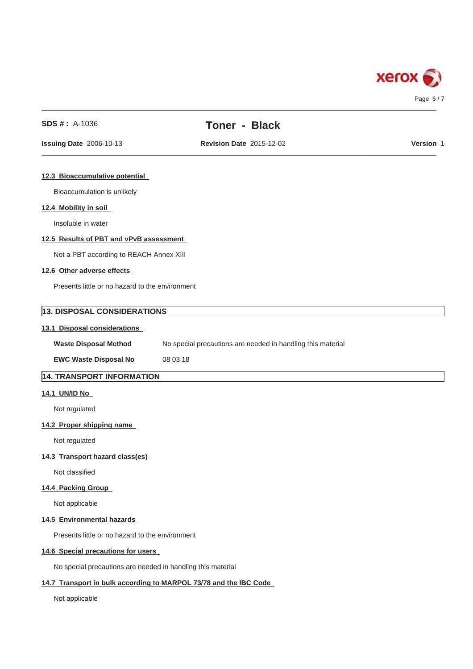

## **SDS # :** A-1036

# **Toner - Black**

 $\_$  ,  $\_$  ,  $\_$  ,  $\_$  ,  $\_$  ,  $\_$  ,  $\_$  ,  $\_$  ,  $\_$  ,  $\_$  ,  $\_$  ,  $\_$  ,  $\_$  ,  $\_$  ,  $\_$  ,  $\_$  ,  $\_$  ,  $\_$  ,  $\_$  ,  $\_$  ,  $\_$  ,  $\_$  ,  $\_$  ,  $\_$  ,  $\_$  ,  $\_$  ,  $\_$  ,  $\_$  ,  $\_$  ,  $\_$  ,  $\_$  ,  $\_$  ,  $\_$  ,  $\_$  ,  $\_$  ,  $\_$  ,  $\_$  ,

## $\_$  ,  $\_$  ,  $\_$  ,  $\_$  ,  $\_$  ,  $\_$  ,  $\_$  ,  $\_$  ,  $\_$  ,  $\_$  ,  $\_$  ,  $\_$  ,  $\_$  ,  $\_$  ,  $\_$  ,  $\_$  ,  $\_$  ,  $\_$  ,  $\_$  ,  $\_$  ,  $\_$  ,  $\_$  ,  $\_$  ,  $\_$  ,  $\_$  ,  $\_$  ,  $\_$  ,  $\_$  ,  $\_$  ,  $\_$  ,  $\_$  ,  $\_$  ,  $\_$  ,  $\_$  ,  $\_$  ,  $\_$  ,  $\_$  , **Issuing Date** 2006-10-13 **Revision Date** 2015-12-02

**Version** 1

#### **12.3 Bioaccumulative potential**

Bioaccumulation is unlikely

## **12.4 Mobility in soil**

Insoluble in water

## **12.5 Results of PBT and vPvB assessment**

Not a PBT according to REACH Annex XIII

### **12.6 Other adverse effects**

Presents little or no hazard to the environment

# **13. DISPOSAL CONSIDERATIONS**

## **13.1 Disposal considerations**

| <b>Waste Disposal Method</b> | No special precautions are needed in handling this material |  |
|------------------------------|-------------------------------------------------------------|--|
| _________                    | $\cdots$                                                    |  |

**EWC Waste Disposal No** 08 03 18

# **14. TRANSPORT INFORMATION**

## **14.1 UN/ID No**

Not regulated

## **14.2 Proper shipping name**

Not regulated

## **14.3 Transport hazard class(es)**

Not classified

### **14.4 Packing Group**

Not applicable

## **14.5 Environmental hazards**

Presents little or no hazard to the environment

## **14.6 Special precautions for users**

No special precautions are needed in handling this material

## **14.7 Transport in bulk according to MARPOL 73/78 and the IBC Code**

Not applicable